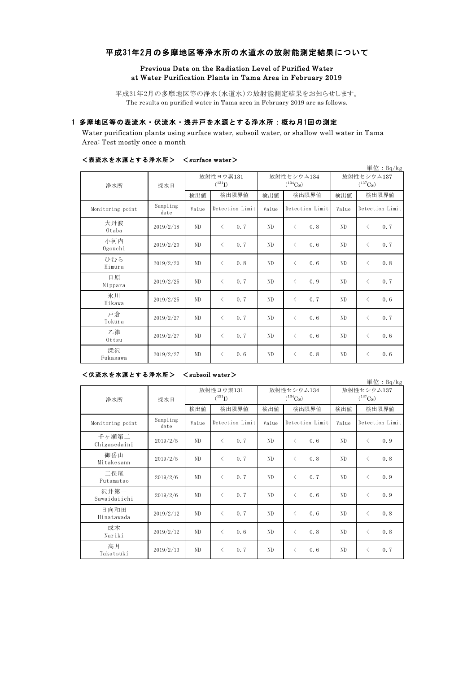# 平成31年2月の多摩地区等浄水所の水道水の放射能測定結果について

## Previous Data on the Radiation Level of Purified Water at Water Purification Plants in Tama Area in February 2019

平成31年2月の多摩地区等の浄水(水道水)の放射能測定結果をお知らせします。 The results on purified water in Tama area in February 2019 are as follows.

# 1 多摩地区等の表流水・伏流水・浅井戸を水源とする浄水所:概ね月1回の測定

Water purification plants using surface water, subsoil water, or shallow well water in Tama Area: Test mostly once a month

|                  |                  |                          |                  |            |                            |                            | 単位: $Bq/kg$      |  |
|------------------|------------------|--------------------------|------------------|------------|----------------------------|----------------------------|------------------|--|
| 浄水所              | 採水日              | 放射性ヨウ素131<br>$(^{131}I)$ |                  |            | 放射性セシウム134<br>$(^{134}Cs)$ | 放射性セシウム137<br>$(^{137}Cs)$ |                  |  |
|                  |                  | 検出値                      | 検出限界値            | 検出値        | 検出限界値                      | 検出値                        | 検出限界値            |  |
| Monitoring point | Sampling<br>date | Value                    | Detection Limit  | Value      | Detection Limit            | Value                      | Detection Limit  |  |
| 大丹波<br>Otaba     | 2019/2/18        | ND                       | 0.7<br>$\langle$ | ND         | 0.8<br>$\lt$               | N <sub>D</sub>             | 0.7<br>$\langle$ |  |
| 小河内<br>Ogouchi   | 2019/2/20        | ND                       | 0.7<br>$\langle$ | ND         | $\lt$<br>0.6               | ND                         | 0.7<br>$\langle$ |  |
| ひむら<br>Himura    | 2019/2/20        | ND                       | 0.8<br>$\langle$ | ND         | 0.6<br>$\langle$           | ND                         | 0.8<br>$\langle$ |  |
| 日原<br>Nippara    | 2019/2/25        | N <sub>D</sub>           | 0.7<br>$\langle$ | ND         | 0.9<br>$\langle$           | ND                         | 0.7<br>$\langle$ |  |
| 氷川<br>Hikawa     | 2019/2/25        | ND                       | 0.7<br>$\langle$ | ${\rm ND}$ | 0.7<br>$\langle$           | ND                         | $\langle$<br>0.6 |  |
| 戸倉<br>Tokura     | 2019/2/27        | ND                       | 0.7<br>$\langle$ | ND         | 0.6<br>$\langle$           | ND                         | 0.7<br>$\langle$ |  |
| 乙津<br>Ottsu      | 2019/2/27        | ND                       | 0.7<br>$\langle$ | ND         | 0.6<br>$\langle$           | ND                         | 0.6<br>$\langle$ |  |
| 深沢<br>Fukasawa   | 2019/2/27        | ND                       | 0.6<br>$\langle$ | ND         | 0.8<br>$\langle$           | ND                         | 0.6<br>$\langle$ |  |

### <表流水を水源とする浄水所> <surface water>

### <伏流水を水源とする浄水所> <subsoil water>

単位:Bq/kg

| 浄水所                   | 採水日              |       | 放射性ヨウ素131<br>$(^{131}I)$                        |       | 放射性セシウム134<br>$(^{134}Cs)$ | 放射性セシウム137<br>$(^{137}Cs)$ |                  |  |
|-----------------------|------------------|-------|-------------------------------------------------|-------|----------------------------|----------------------------|------------------|--|
|                       |                  | 検出値   | 検出限界値                                           | 検出値   | 検出限界値                      | 検出値                        | 検出限界値            |  |
| Monitoring point      | Sampling<br>date | Value | Detection Limit                                 | Value | Detection Limit            | Value                      | Detection Limit  |  |
| 千ヶ瀬第二<br>Chigasedaini | 2019/2/5         | ND    | 0.7<br>$\langle$                                | ND    | 0.6<br>$\langle$           | ND.                        | 0.9<br>$\lt$     |  |
| 御岳山<br>Mitakesann     | 2019/2/5         | ND    | 0.7<br>$\langle$                                | ND    | 0.8<br>$\langle$           | ND.                        | 0.8<br>$\lt$     |  |
| 二俣尾<br>Futamatao      | 2019/2/6         | ND.   | 0.7<br>$\langle$                                | ND    | 0.7<br>$\langle$           | ND.                        | 0.9<br>$\langle$ |  |
| 沢井第一<br>Sawaidaiichi  | 2019/2/6         | ND.   | $\langle$<br>0.7                                | ND    | 0.6<br>$\lt$               | ND.                        | 0.9<br>$\langle$ |  |
| 日向和田<br>Hinatawada    | 2019/2/12        | ND    | 0.7<br>$\langle$                                | ND    | 0.6<br>$\lt$               | ND                         | 0.8<br>$\langle$ |  |
| 成木<br>Nariki          | 2019/2/12        | ND    | 0.6<br>$\langle$                                | ND    | 0.8<br>$\lt$               | ND.                        | 0.8<br>$\langle$ |  |
| 高月<br>Takatsuki       | 2019/2/13        | ND    | 0.7<br>$\overline{\left\langle \right\rangle }$ | ND    | 0.6<br>$\lt$               | ND                         | 0.7<br>$\lt$     |  |